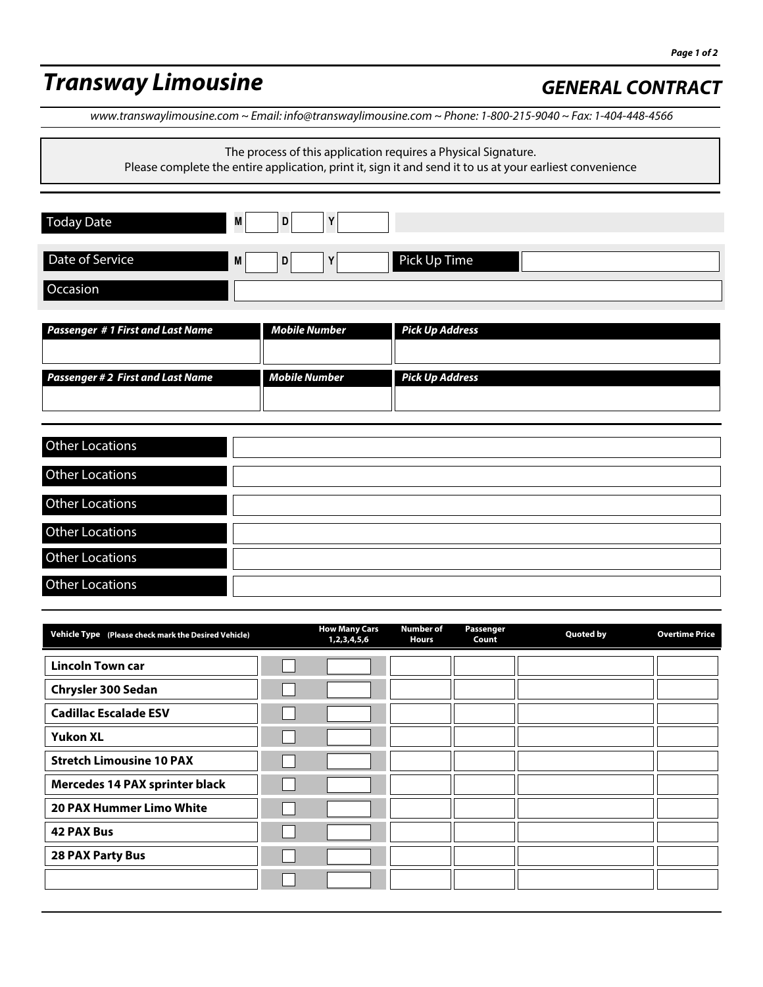# **Transway Limousine** *GENERAL CONTRACT*

www.transwaylimousine.com ~ Email: info@transwaylimousine.com ~ Phone: 1-800-215-9040 ~ Fax: 1-404-448-4566

The process of this application requires a Physical Signature.

| Please complete the entire application, print it, sign it and send it to us at your earliest convenience |                   |  |  |  |
|----------------------------------------------------------------------------------------------------------|-------------------|--|--|--|
| <b>Today Date</b>                                                                                        | M<br>D            |  |  |  |
| Date of Service                                                                                          | Pick Up Time<br>M |  |  |  |
| Occasion                                                                                                 |                   |  |  |  |

| <b>Passenger #1 First and Last Name</b>  | Mobile Number | <b>Pick Up Address</b> |
|------------------------------------------|---------------|------------------------|
| <b>Passenger # 2 First and Last Name</b> | Mobile Number | <b>Pick Up Address</b> |

| <b>Other Locations</b> |  |
|------------------------|--|
| <b>Other Locations</b> |  |
| <b>Other Locations</b> |  |
| Other Locations        |  |
| Other Locations        |  |
| <b>Other Locations</b> |  |

| Vehicle Type (Please check mark the Desired Vehicle) | <b>How Many Cars</b><br>1,2,3,4,5,6 | <b>Number of</b><br><b>Hours</b> | Passenger<br>Count | <b>Quoted by</b> | <b>Overtime Price</b> |
|------------------------------------------------------|-------------------------------------|----------------------------------|--------------------|------------------|-----------------------|
| <b>Lincoln Town car</b>                              |                                     |                                  |                    |                  |                       |
| Chrysler 300 Sedan                                   |                                     |                                  |                    |                  |                       |
| <b>Cadillac Escalade ESV</b>                         |                                     |                                  |                    |                  |                       |
| <b>Yukon XL</b>                                      |                                     |                                  |                    |                  |                       |
| <b>Stretch Limousine 10 PAX</b>                      |                                     |                                  |                    |                  |                       |
| Mercedes 14 PAX sprinter black                       |                                     |                                  |                    |                  |                       |
| 20 PAX Hummer Limo White                             |                                     |                                  |                    |                  |                       |
| <b>42 PAX Bus</b>                                    |                                     |                                  |                    |                  |                       |
| <b>28 PAX Party Bus</b>                              |                                     |                                  |                    |                  |                       |
|                                                      |                                     |                                  |                    |                  |                       |